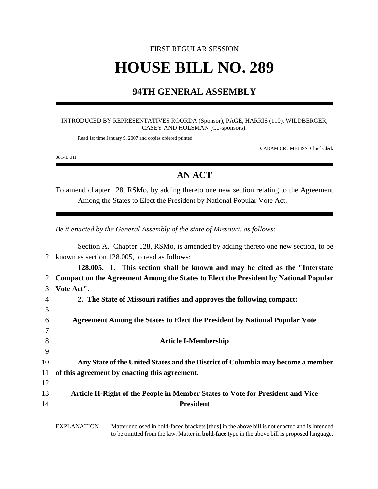# FIRST REGULAR SESSION **HOUSE BILL NO. 289**

## **94TH GENERAL ASSEMBLY**

#### INTRODUCED BY REPRESENTATIVES ROORDA (Sponsor), PAGE, HARRIS (110), WILDBERGER, CASEY AND HOLSMAN (Co-sponsors).

Read 1st time January 9, 2007 and copies ordered printed.

D. ADAM CRUMBLISS, Chief Clerk

0814L.01I

### **AN ACT**

To amend chapter 128, RSMo, by adding thereto one new section relating to the Agreement Among the States to Elect the President by National Popular Vote Act.

*Be it enacted by the General Assembly of the state of Missouri, as follows:*

|    | Section A. Chapter 128, RSMo, is amended by adding thereto one new section, to be           |
|----|---------------------------------------------------------------------------------------------|
| 2  | known as section 128.005, to read as follows:                                               |
|    | 128.005. 1. This section shall be known and may be cited as the "Interstate"                |
| 2  | <b>Compact on the Agreement Among the States to Elect the President by National Popular</b> |
| 3  | Vote Act".                                                                                  |
| 4  | 2. The State of Missouri ratifies and approves the following compact:                       |
| 5  |                                                                                             |
| 6  | <b>Agreement Among the States to Elect the President by National Popular Vote</b>           |
| 7  |                                                                                             |
| 8  | <b>Article I-Membership</b>                                                                 |
| 9  |                                                                                             |
| 10 | Any State of the United States and the District of Columbia may become a member             |
| 11 | of this agreement by enacting this agreement.                                               |
| 12 |                                                                                             |
| 13 | Article II-Right of the People in Member States to Vote for President and Vice              |
| 14 | <b>President</b>                                                                            |
|    |                                                                                             |

EXPLANATION — Matter enclosed in bold-faced brackets **[**thus**]** in the above bill is not enacted and is intended to be omitted from the law. Matter in **bold-face** type in the above bill is proposed language.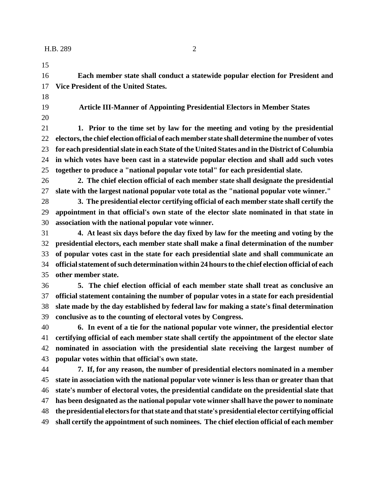**Each member state shall conduct a statewide popular election for President and Vice President of the United States.**

**Article III-Manner of Appointing Presidential Electors in Member States**

 **1. Prior to the time set by law for the meeting and voting by the presidential electors, the chief election official of each member state shall determine the number of votes for each presidential slate in each State of the United States and in the District of Columbia in which votes have been cast in a statewide popular election and shall add such votes together to produce a "national popular vote total" for each presidential slate.**

 **2. The chief election official of each member state shall designate the presidential slate with the largest national popular vote total as the "national popular vote winner."**

 **3. The presidential elector certifying official of each member state shall certify the appointment in that official's own state of the elector slate nominated in that state in association with the national popular vote winner.**

 **4. At least six days before the day fixed by law for the meeting and voting by the presidential electors, each member state shall make a final determination of the number of popular votes cast in the state for each presidential slate and shall communicate an official statement of such determination within 24 hours to the chief election official of each other member state.**

 **5. The chief election official of each member state shall treat as conclusive an official statement containing the number of popular votes in a state for each presidential slate made by the day established by federal law for making a state's final determination conclusive as to the counting of electoral votes by Congress.**

 **6. In event of a tie for the national popular vote winner, the presidential elector certifying official of each member state shall certify the appointment of the elector slate nominated in association with the presidential slate receiving the largest number of popular votes within that official's own state.**

 **7. If, for any reason, the number of presidential electors nominated in a member state in association with the national popular vote winner is less than or greater than that state's number of electoral votes, the presidential candidate on the presidential slate that has been designated as the national popular vote winner shall have the power to nominate the presidential electors for that state and that state's presidential elector certifying official shall certify the appointment of such nominees. The chief election official of each member**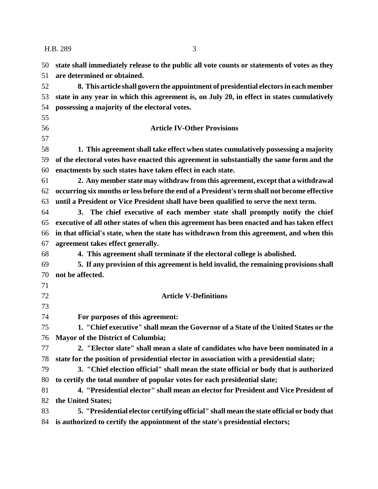### H.B. 289 3

| 50 | state shall immediately release to the public all vote counts or statements of votes as they |
|----|----------------------------------------------------------------------------------------------|
| 51 | are determined or obtained.                                                                  |
| 52 | 8. This article shall govern the appointment of presidential electors in each member         |
| 53 | state in any year in which this agreement is, on July 20, in effect in states cumulatively   |
| 54 | possessing a majority of the electoral votes.                                                |
| 55 |                                                                                              |
| 56 | <b>Article IV-Other Provisions</b>                                                           |
| 57 |                                                                                              |
| 58 | 1. This agreement shall take effect when states cumulatively possessing a majority           |
| 59 | of the electoral votes have enacted this agreement in substantially the same form and the    |
| 60 | enactments by such states have taken effect in each state.                                   |
| 61 | 2. Any member state may withdraw from this agreement, except that a withdrawal               |
| 62 | occurring six months or less before the end of a President's term shall not become effective |
| 63 | until a President or Vice President shall have been qualified to serve the next term.        |
| 64 | 3. The chief executive of each member state shall promptly notify the chief                  |
| 65 | executive of all other states of when this agreement has been enacted and has taken effect   |
| 66 | in that official's state, when the state has withdrawn from this agreement, and when this    |
| 67 | agreement takes effect generally.                                                            |
| 68 | 4. This agreement shall terminate if the electoral college is abolished.                     |
| 69 | 5. If any provision of this agreement is held invalid, the remaining provisions shall        |
| 70 | not be affected.                                                                             |
| 71 |                                                                                              |
| 72 | <b>Article V-Definitions</b>                                                                 |
| 73 |                                                                                              |
| 74 | For purposes of this agreement:                                                              |
| 75 | 1. "Chief executive" shall mean the Governor of a State of the United States or the          |
|    | 76 Mayor of the District of Columbia;                                                        |
| 77 | 2. "Elector slate" shall mean a slate of candidates who have been nominated in a             |
| 78 | state for the position of presidential elector in association with a presidential slate;     |
| 79 | 3. "Chief election official" shall mean the state official or body that is authorized        |
| 80 | to certify the total number of popular votes for each presidential slate;                    |
| 81 | 4. "Presidential elector" shall mean an elector for President and Vice President of          |
| 82 | the United States;                                                                           |
| 83 | 5. "Presidential elector certifying official" shall mean the state official or body that     |
| 84 | is authorized to certify the appointment of the state's presidential electors;               |